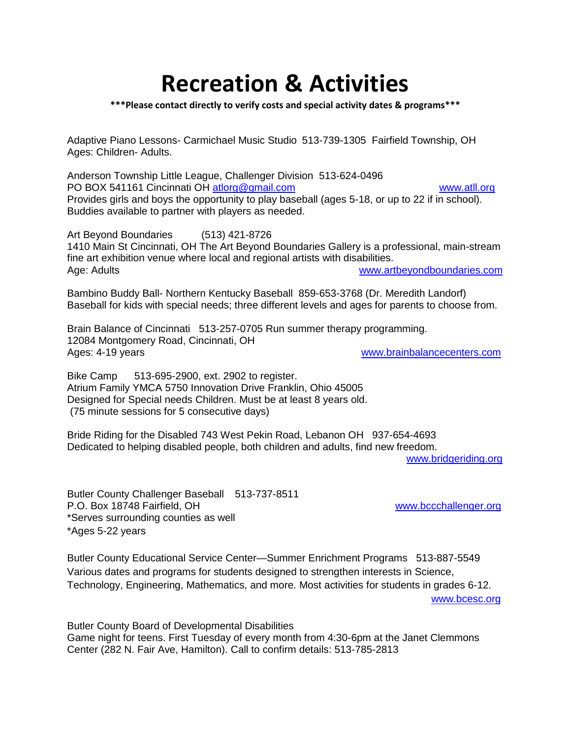# **Recreation & Activities**

### **\*\*\*Please contact directly to verify costs and special activity dates & programs\*\*\***

Adaptive Piano Lessons- Carmichael Music Studio 513-739-1305 Fairfield Township, OH Ages: Children- Adults.

Anderson Township Little League, Challenger Division 513-624-0496 PO BOX 541161 Cincinnati OH [atlorg@gmail.com](mailto:atlorg@gmail.com) [www.atll.org](http://www.atll.org/) Provides girls and boys the opportunity to play baseball (ages 5-18, or up to 22 if in school). Buddies available to partner with players as needed.

Art Beyond Boundaries (513) 421-8726 1410 Main St Cincinnati, OH The Art Beyond Boundaries Gallery is a professional, main-stream fine art exhibition venue where local and regional artists with disabilities. Age: Adults [www.artbeyondboundaries.com](http://www.artbeyondboundaries.com/)

Bambino Buddy Ball- Northern Kentucky Baseball 859-653-3768 (Dr. Meredith Landorf) Baseball for kids with special needs; three different levels and ages for parents to choose from.

Brain Balance of Cincinnati 513-257-0705 Run summer therapy programming. 12084 Montgomery Road, Cincinnati, OH Ages: 4-19 years **Ages: 4-19 years** [www.brainbalancecenters.com](http://www.brainbalancecenters.com/)

Bike Camp 513-695-2900, ext. 2902 to register. Atrium Family YMCA 5750 Innovation Drive Franklin, Ohio 45005 Designed for Special needs Children. Must be at least 8 years old. (75 minute sessions for 5 consecutive days)

Bride Riding for the Disabled 743 West Pekin Road, Lebanon OH 937-654-4693 Dedicated to helping disabled people, both children and adults, find new freedom.

[www.bridgeriding.org](http://www.bridgeriding.org/)

Butler County Challenger Baseball 513-737-8511 P.O. Box 18748 Fairfield, OH [www.bccchallenger.org](http://www.bccchallenger.org/) \*Serves surrounding counties as well \*Ages 5-22 years

Butler County Educational Service Center—Summer Enrichment Programs 513-887-5549 Various dates and programs for students designed to strengthen interests in Science, Technology, Engineering, Mathematics, and more. Most activities for students in grades 6-12. [www.bcesc.org](http://www.bcesc.org/)

Butler County Board of Developmental Disabilities Game night for teens. First Tuesday of every month from 4:30-6pm at the Janet Clemmons

Center (282 N. Fair Ave, Hamilton). Call to confirm details: 513-785-2813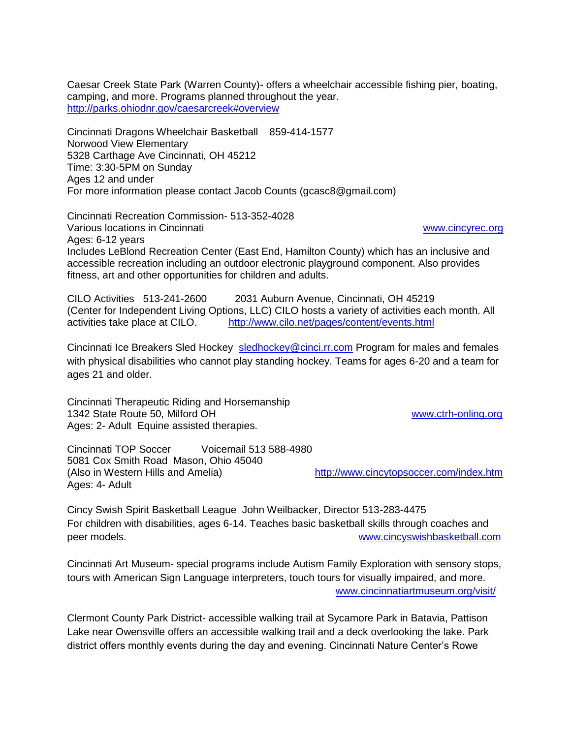Caesar Creek State Park (Warren County)- offers a wheelchair accessible fishing pier, boating, camping, and more. Programs planned throughout the year. <http://parks.ohiodnr.gov/caesarcreek#overview>

Cincinnati Dragons Wheelchair Basketball 859-414-1577 Norwood View Elementary 5328 Carthage Ave Cincinnati, OH 45212 Time: 3:30-5PM on Sunday Ages 12 and under For more information please contact Jacob Counts (gcasc8@gmail.com)

Cincinnati Recreation Commission- 513-352-4028 Various locations in Cincinnati [www.cincyrec.org](http://www.cincyrec.org/) Ages: 6-12 years Includes LeBlond Recreation Center (East End, Hamilton County) which has an inclusive and accessible recreation including an outdoor electronic playground component. Also provides fitness, art and other opportunities for children and adults.

CILO Activities 513-241-2600 2031 Auburn Avenue, Cincinnati, OH 45219 (Center for Independent Living Options, LLC) CILO hosts a variety of activities each month. All activities take place at CILO. <http://www.cilo.net/pages/content/events.html>

Cincinnati Ice Breakers Sled Hockey [sledhockey@cinci.rr.com](mailto:sledhockey@cinci.rr.com) Program for males and females with physical disabilities who cannot play standing hockey. Teams for ages 6-20 and a team for ages 21 and older.

Cincinnati Therapeutic Riding and Horsemanship 1342 State Route 50, Milford OH [www.ctrh-onling.org](http://www.ctrh-onling.org/) Ages: 2- Adult Equine assisted therapies.

Cincinnati TOP Soccer Voicemail 513 588-4980 5081 Cox Smith Road Mason, Ohio 45040 (Also in Western Hills and Amelia) <http://www.cincytopsoccer.com/index.htm> Ages: 4- Adult

Cincy Swish Spirit Basketball League John Weilbacker, Director 513-283-4475 For children with disabilities, ages 6-14. Teaches basic basketball skills through coaches and peer models. [www.cincyswishbasketball.com](http://www.cincyswishbasketball.com/)

Cincinnati Art Museum- special programs include Autism Family Exploration with sensory stops, tours with American Sign Language interpreters, touch tours for visually impaired, and more. [www.cincinnatiartmuseum.org/visit/](http://www.cincinnatiartmuseum.org/visit/)

Clermont County Park District- accessible walking trail at Sycamore Park in Batavia, Pattison Lake near Owensville offers an accessible walking trail and a deck overlooking the lake. Park district offers monthly events during the day and evening. Cincinnati Nature Center's Rowe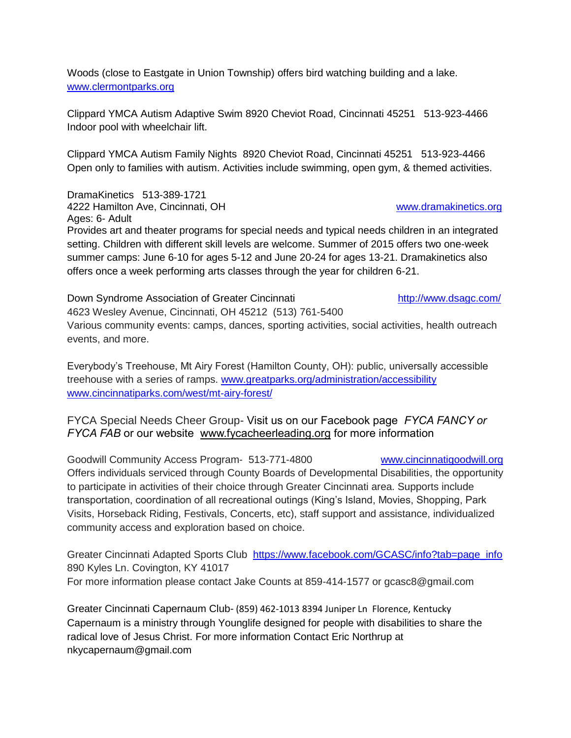Woods (close to Eastgate in Union Township) offers bird watching building and a lake. [www.clermontparks.org](http://www.clermontparks.org/)

Clippard YMCA Autism Adaptive Swim 8920 Cheviot Road, Cincinnati 45251 513-923-4466 Indoor pool with wheelchair lift.

Clippard YMCA Autism Family Nights 8920 Cheviot Road, Cincinnati 45251 513-923-4466 Open only to families with autism. Activities include swimming, open gym, & themed activities.

DramaKinetics 513-389-1721 4222 Hamilton Ave, Cincinnati, OH [www.dramakinetics.org](http://www.dramakinetics.org/)

Ages: 6- Adult

Provides art and theater programs for special needs and typical needs children in an integrated setting. Children with different skill levels are welcome. Summer of 2015 offers two one-week summer camps: June 6-10 for ages 5-12 and June 20-24 for ages 13-21. Dramakinetics also offers once a week performing arts classes through the year for children 6-21.

Down Syndrome Association of Greater Cincinnati **<http://www.dsagc.com/>** 4623 Wesley Avenue, Cincinnati, OH 45212 (513) 761-5400 Various community events: camps, dances, sporting activities, social activities, health outreach events, and more.

Everybody's Treehouse, Mt Airy Forest (Hamilton County, OH): public, universally accessible treehouse with a series of ramps. [www.greatparks.org/administration/accessibility](http://www.greatparks.org/administration/accessibility) [www.cincinnatiparks.com/west/mt-airy-forest/](http://www.cincinnatiparks.com/west/mt-airy-forest/)

### FYCA Special Needs Cheer Group- Visit us on our Facebook page *FYCA FANCY or FYCA FAB* or our website [www.fycacheerleading.org](http://www.fycacheerleading.org/) for more information

Goodwill Community Access Program- 513-771-4800 [www.cincinnatigoodwill.org](http://www.cincinnatigoodwill.org/) Offers individuals serviced through County Boards of Developmental Disabilities, the opportunity to participate in activities of their choice through Greater Cincinnati area. Supports include transportation, coordination of all recreational outings (King's Island, Movies, Shopping, Park Visits, Horseback Riding, Festivals, Concerts, etc), staff support and assistance, individualized community access and exploration based on choice.

Greater Cincinnati Adapted Sports Club [https://www.facebook.com/GCASC/info?tab=page\\_info](https://www.facebook.com/GCASC/info?tab=page_info) 890 Kyles Ln. Covington, KY 41017 For more information please contact Jake Counts at 859-414-1577 or gcasc8@gmail.com

Greater Cincinnati Capernaum Club- (859) 462-1013 8394 Juniper Ln Florence, Kentucky Capernaum is a ministry through Younglife designed for people with disabilities to share the radical love of Jesus Christ. For more information Contact Eric Northrup at nkycapernaum@gmail.com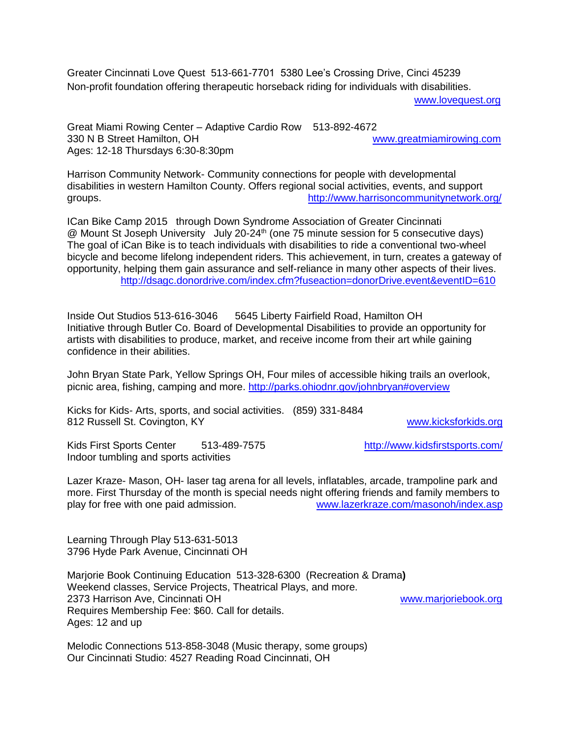Greater Cincinnati Love Quest 513-661-7701 5380 Lee's Crossing Drive, Cinci 45239 Non-profit foundation offering therapeutic horseback riding for individuals with disabilities.

[www.lovequest.org](http://www.lovequest.org/)

Great Miami Rowing Center – Adaptive Cardio Row 513-892-4672 330 N B Street Hamilton, OH [www.greatmiamirowing.com](http://www.greatmiamirowing.com/) Ages: 12-18 Thursdays 6:30-8:30pm

Harrison Community Network- Community connections for people with developmental disabilities in western Hamilton County. Offers regional social activities, events, and support groups. <http://www.harrisoncommunitynetwork.org/>

ICan Bike Camp 2015 through Down Syndrome Association of Greater Cincinnati @ Mount St Joseph University July 20-24<sup>th</sup> (one 75 minute session for 5 consecutive days) The goal of iCan Bike is to teach individuals with disabilities to ride a conventional two-wheel bicycle and become lifelong independent riders. This achievement, in turn, creates a gateway of opportunity, helping them gain assurance and self-reliance in many other aspects of their lives. <http://dsagc.donordrive.com/index.cfm?fuseaction=donorDrive.event&eventID=610>

Inside Out Studios 513-616-3046 5645 Liberty Fairfield Road, Hamilton OH Initiative through Butler Co. Board of Developmental Disabilities to provide an opportunity for artists with disabilities to produce, market, and receive income from their art while gaining confidence in their abilities.

John Bryan State Park, Yellow Springs OH, Four miles of accessible hiking trails an overlook, picnic area, fishing, camping and more.<http://parks.ohiodnr.gov/johnbryan#overview>

Kicks for Kids- Arts, sports, and social activities. (859) 331-8484 812 Russell St. Covington, KY [www.kicksforkids.org](http://www.kicksforkids.org/)

Kids First Sports Center 513-489-7575 <http://www.kidsfirstsports.com/> Indoor tumbling and sports activities

Lazer Kraze- Mason, OH- laser tag arena for all levels, inflatables, arcade, trampoline park and more. First Thursday of the month is special needs night offering friends and family members to play for free with one paid admission. [www.lazerkraze.com/masonoh/index.asp](http://www.lazerkraze.com/masonoh/index.asp)

Learning Through Play 513-631-5013 3796 Hyde Park Avenue, Cincinnati OH

Marjorie Book Continuing Education 513-328-6300 (Recreation & Drama**)**  Weekend classes, Service Projects, Theatrical Plays, and more. 2373 Harrison Ave, Cincinnati OH [www.marjoriebook.org](http://www.marjoriebook.org/) Requires Membership Fee: \$60. Call for details. Ages: 12 and up

Melodic Connections 513-858-3048 (Music therapy, some groups) Our Cincinnati Studio: 4527 Reading Road Cincinnati, OH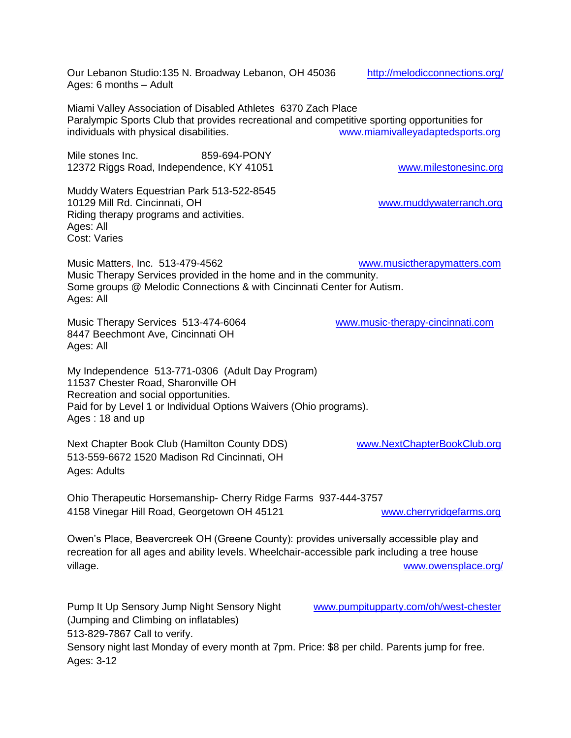Our Lebanon Studio:135 N. Broadway Lebanon, OH 45036 <http://melodicconnections.org/> Ages: 6 months – Adult

Miami Valley Association of Disabled Athletes 6370 Zach Place Paralympic Sports Club that provides recreational and competitive sporting opportunities for individuals with physical disabilities. [www.miamivalleyadaptedsports.org](http://www.miamivalleyadaptedsports.org/)

Mile stones Inc. 659-694-PONY 12372 Riggs Road, Independence, KY 41051 [www.milestonesinc.org](http://www.milestonesinc.org/)

Muddy Waters Equestrian Park 513-522-8545 10129 Mill Rd. Cincinnati, OH [www.muddywaterranch.org](http://www.muddywaterranch.org/) Riding therapy programs and activities. Ages: All Cost: Varies

Music Matters, Inc. 513-479-4562 [www.musictherapymatters.com](http://www.musictherapymatters.com/) Music Therapy Services provided in the home and in the community. Some groups @ Melodic Connections & with Cincinnati Center for Autism. Ages: All

Music Therapy Services 513-474-6064 [www.music-therapy-cincinnati.com](http://www.music-therapy-cincinnati.com/) 8447 Beechmont Ave, Cincinnati OH Ages: All

My Independence 513-771-0306 (Adult Day Program) 11537 Chester Road, Sharonville OH Recreation and social opportunities. Paid for by Level 1 or Individual Options Waivers (Ohio programs). Ages : 18 and up

Next Chapter Book Club (Hamilton County DDS) [www.NextChapterBookClub.org](http://www.nextchapterbookclub.org/) 513-559-6672 1520 Madison Rd Cincinnati, OH Ages: Adults

Ohio Therapeutic Horsemanship- Cherry Ridge Farms 937-444-3757 4158 Vinegar Hill Road, Georgetown OH 45121 [www.cherryridgefarms.org](http://www.cherryridgefarms.org/)

Owen's Place, Beavercreek OH (Greene County): provides universally accessible play and recreation for all ages and ability levels. Wheelchair-accessible park including a tree house village. We have a set of the set of the set of the set of the set of the set of the set of the set of the set of the set of the set of the set of the set of the set of the set of the set of the set of the set of the set o

Pump It Up Sensory Jump Night Sensory Night [www.pumpitupparty.com/oh/west-chester](http://www.pumpitupparty.com/oh/west-chester) (Jumping and Climbing on inflatables)

513-829-7867 Call to verify.

Sensory night last Monday of every month at 7pm. Price: \$8 per child. Parents jump for free. Ages: 3-12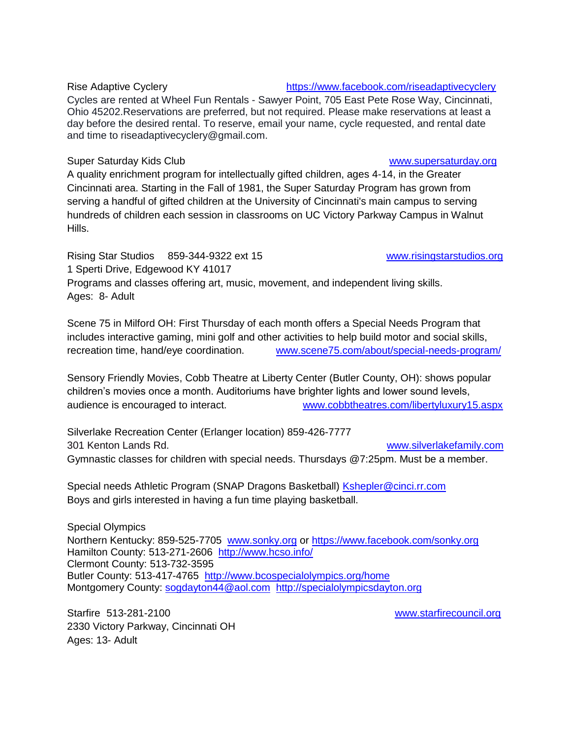### Rise Adaptive Cyclery **<https://www.facebook.com/riseadaptivecyclery>**

Cycles are rented at Wheel Fun Rentals - Sawyer Point, 705 East Pete Rose Way, Cincinnati, Ohio 45202.Reservations are preferred, but not required. Please make reservations at least a day before the desired rental. To reserve, email your name, cycle requested, and rental date and time to riseadaptivecyclery@gmail.com.

### Super Saturday Kids Club [www.supersaturday.org](http://www.supersaturday.org/)

A quality enrichment program for intellectually gifted children, ages 4-14, in the Greater Cincinnati area. Starting in the Fall of 1981, the Super Saturday Program has grown from serving a handful of gifted children at the University of Cincinnati's main campus to serving hundreds of children each session in classrooms on UC Victory Parkway Campus in Walnut Hills.

Rising Star Studios 859-344-9322 ext 15 [www.risingstarstudios.org](http://www.risingstarstudios.org/) 1 Sperti Drive, Edgewood KY 41017 Programs and classes offering art, music, movement, and independent living skills. Ages: 8- Adult

Scene 75 in Milford OH: First Thursday of each month offers a Special Needs Program that includes interactive gaming, mini golf and other activities to help build motor and social skills, recreation time, hand/eye coordination. [www.scene75.com/about/special-needs-program/](http://www.scene75.com/about/special-needs-program/)

Sensory Friendly Movies, Cobb Theatre at Liberty Center (Butler County, OH): shows popular children's movies once a month. Auditoriums have brighter lights and lower sound levels, audience is encouraged to interact. [www.cobbtheatres.com/libertyluxury15.aspx](http://www.cobbtheatres.com/libertyluxury15.aspx)

Silverlake Recreation Center (Erlanger location) 859-426-7777 301 Kenton Lands Rd. [www.silverlakefamily.com](http://www.silverlakefamily.com/) Gymnastic classes for children with special needs. Thursdays @7:25pm. Must be a member.

Special needs Athletic Program (SNAP Dragons Basketball) **Kshepler@cinci.rr.com** Boys and girls interested in having a fun time playing basketball.

Special Olympics Northern Kentucky: 859-525-7705 [www.sonky.org](http://www.sonky.org/) or<https://www.facebook.com/sonky.org> Hamilton County: 513-271-2606 <http://www.hcso.info/> Clermont County: 513-732-3595 Butler County: 513-417-4765 <http://www.bcospecialolympics.org/home> Montgomery County: [sogdayton44@aol.com](mailto:sogdayton44@aol.com) [http://specialolympicsdayton.org](http://specialolympicsdayton.org/)

Starfire 513-281-2100 [www.starfirecouncil.org](http://www.starfirecouncil.org/) 2330 Victory Parkway, Cincinnati OH Ages: 13- Adult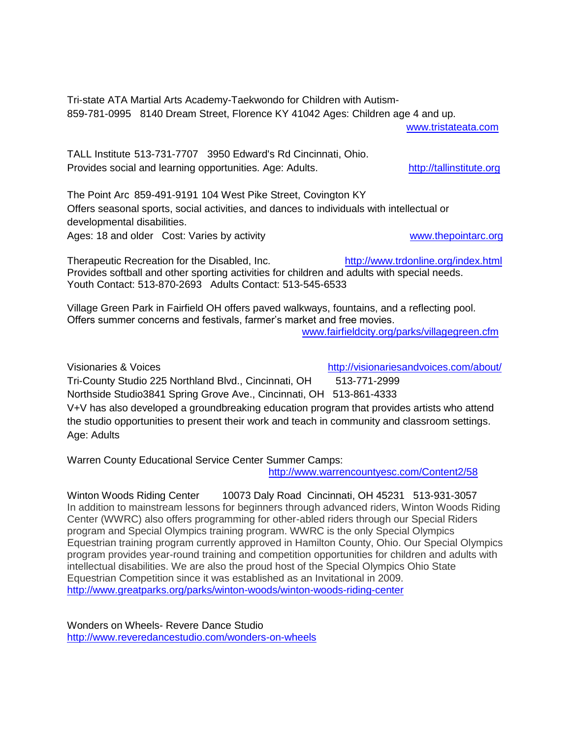Tri-state ATA Martial Arts Academy-Taekwondo for Children with Autism-859-781-0995 8140 Dream Street, Florence KY 41042 Ages: Children age 4 and up.

[www.tristateata.com](http://www.tristateata.com/)

TALL Institute 513-731-7707 3950 Edward's Rd Cincinnati, Ohio. Provides social and learning opportunities. Age: Adults. [http://tallinstitute.org](http://tallinstitute.org/)

The Point Arc 859-491-9191 104 West Pike Street, Covington KY Offers seasonal sports, social activities, and dances to individuals with intellectual or developmental disabilities.

Ages: 18 and older Cost: Varies by activity example and the [www.thepointarc.org](http://www.thepointarc.org/)

Therapeutic Recreation for the Disabled, Inc. <http://www.trdonline.org/index.html> Provides softball and other sporting activities for children and adults with special needs. Youth Contact: 513-870-2693 Adults Contact: 513-545-6533

Village Green Park in Fairfield OH offers paved walkways, fountains, and a reflecting pool. Offers summer concerns and festivals, farmer's market and free movies.

[www.fairfieldcity.org/parks/villagegreen.cfm](http://www.fairfieldcity.org/parks/villagegreen.cfm)

Visionaries & Voices **<http://visionariesandvoices.com/about/>** Tri-County Studio 225 Northland Blvd., Cincinnati, OH 513-771-2999 Northside Studio3841 Spring Grove Ave., Cincinnati, OH 513-861-4333 V+V has also developed a groundbreaking education program that provides artists who attend the studio opportunities to present their work and teach in community and classroom settings. Age: Adults

Warren County Educational Service Center Summer Camps:

<http://www.warrencountyesc.com/Content2/58>

Winton Woods Riding Center 10073 Daly Road Cincinnati, OH 45231 513-931-3057 In addition to mainstream lessons for beginners through advanced riders, Winton Woods Riding Center (WWRC) also offers programming for other-abled riders through our Special Riders program and Special Olympics training program. WWRC is the only Special Olympics Equestrian training program currently approved in Hamilton County, Ohio. Our Special Olympics program provides year-round training and competition opportunities for children and adults with intellectual disabilities. We are also the proud host of the Special Olympics Ohio State Equestrian Competition since it was established as an Invitational in 2009. <http://www.greatparks.org/parks/winton-woods/winton-woods-riding-center>

Wonders on Wheels- Revere Dance Studio <http://www.reveredancestudio.com/wonders-on-wheels>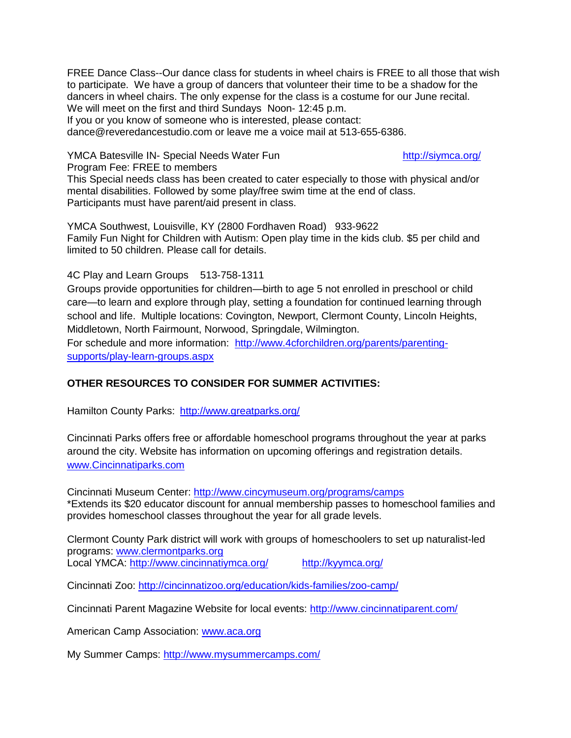FREE Dance Class--Our dance class for students in wheel chairs is FREE to all those that wish to participate. We have a group of dancers that volunteer their time to be a shadow for the dancers in wheel chairs. The only expense for the class is a costume for our June recital. We will meet on the first and third Sundays Noon- 12:45 p.m. If you or you know of someone who is interested, please contact:

dance@reveredancestudio.com or leave me a voice mail at 513-655-6386.

YMCA Batesville IN- Special Needs Water Fun <http://siymca.org/>

Program Fee: FREE to members

This Special needs class has been created to cater especially to those with physical and/or mental disabilities. Followed by some play/free swim time at the end of class. Participants must have parent/aid present in class.

YMCA Southwest, Louisville, KY (2800 Fordhaven Road) 933-9622 Family Fun Night for Children with Autism: Open play time in the kids club. \$5 per child and limited to 50 children. Please call for details.

4C Play and Learn Groups 513-758-1311

Groups provide opportunities for children—birth to age 5 not enrolled in preschool or child care—to learn and explore through play, setting a foundation for continued learning through school and life. Multiple locations: Covington, Newport, Clermont County, Lincoln Heights, Middletown, North Fairmount, Norwood, Springdale, Wilmington.

For schedule and more information: [http://www.4cforchildren.org/parents/parenting](http://www.4cforchildren.org/parents/parenting-supports/play-learn-groups.aspx)[supports/play-learn-groups.aspx](http://www.4cforchildren.org/parents/parenting-supports/play-learn-groups.aspx)

### **OTHER RESOURCES TO CONSIDER FOR SUMMER ACTIVITIES:**

Hamilton County Parks: <http://www.greatparks.org/>

Cincinnati Parks offers free or affordable homeschool programs throughout the year at parks around the city. Website has information on upcoming offerings and registration details. [www.Cincinnatiparks.com](http://www.cincinnatiparks.com/)

Cincinnati Museum Center:<http://www.cincymuseum.org/programs/camps> \*Extends its \$20 educator discount for annual membership passes to homeschool families and provides homeschool classes throughout the year for all grade levels.

Clermont County Park district will work with groups of homeschoolers to set up naturalist-led programs: [www.clermontparks.org](http://www.clermontparks.org/) Local YMCA:<http://www.cincinnatiymca.org/><http://kyymca.org/>

Cincinnati Zoo:<http://cincinnatizoo.org/education/kids-families/zoo-camp/>

Cincinnati Parent Magazine Website for local events:<http://www.cincinnatiparent.com/>

American Camp Association: [www.aca.org](http://www.aca.org/)

My Summer Camps:<http://www.mysummercamps.com/>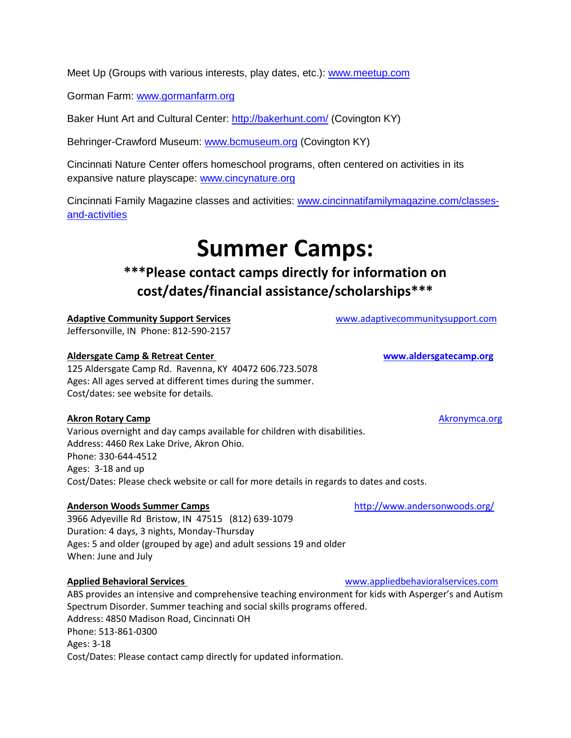Meet Up (Groups with various interests, play dates, etc.): [www.meetup.com](http://www.meetup.com/)

Gorman Farm: [www.gormanfarm.org](http://www.gormanfarm.org/)

Baker Hunt Art and Cultural Center:<http://bakerhunt.com/> (Covington KY)

Behringer-Crawford Museum: [www.bcmuseum.org](http://www.bcmuseum.org/) (Covington KY)

Cincinnati Nature Center offers homeschool programs, often centered on activities in its expansive nature playscape: [www.cincynature.org](http://www.cincynature.org/)

Cincinnati Family Magazine classes and activities: [www.cincinnatifamilymagazine.com/classes](http://www.cincinnatifamilymagazine.com/classes-and-activities)[and-activities](http://www.cincinnatifamilymagazine.com/classes-and-activities)

## **Summer Camps:**

### **\*\*\*Please contact camps directly for information on cost/dates/financial assistance/scholarships\*\*\***

**Adaptive Community Support Services** [www.adaptivecommunitysupport.com](http://www.adaptivecommunitysupport.com/) Jeffersonville, IN Phone: 812-590-2157

### **Aldersgate Camp & Retreat Center [www.aldersgatecamp.org](http://www.aldersgatecamp.org/)**

125 Aldersgate Camp Rd. Ravenna, KY 40472 606.723.5078 Ages: All ages served at different times during the summer. Cost/dates: see website for details.

### **Akron Rotary Camp Akronymca.org Akronymca.org Akronymca.org Akronymca.org Akronymca.org**

Various overnight and day camps available for children with disabilities. Address: 4460 Rex Lake Drive, Akron Ohio. Phone: 330-644-4512 Ages: 3-18 and up Cost/Dates: Please check website or call for more details in regards to dates and costs.

### **Anderson Woods Summer Camps <http://www.andersonwoods.org/>**

3966 Adyeville Rd Bristow, IN 47515 (812) 639-1079 Duration: 4 days, 3 nights, Monday-Thursday Ages: 5 and older (grouped by age) and adult sessions 19 and older When: June and July

ABS provides an intensive and comprehensive teaching environment for kids with Asperger's and Autism Spectrum Disorder. Summer teaching and social skills programs offered. Address: 4850 Madison Road, Cincinnati OH Phone: 513-861-0300 Ages: 3-18 Cost/Dates: Please contact camp directly for updated information.

**Applied Behavioral Services** www.appliedbehavioralservices.com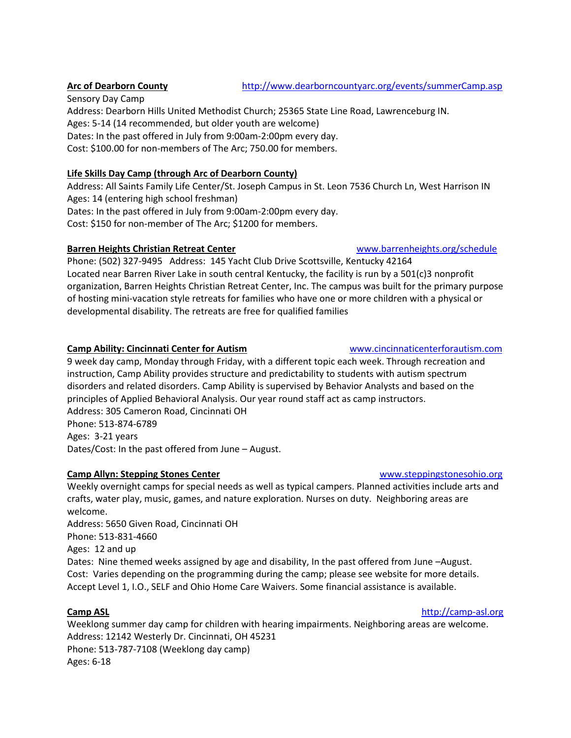Sensory Day Camp Address: Dearborn Hills United Methodist Church; 25365 State Line Road, Lawrenceburg IN. Ages: 5-14 (14 recommended, but older youth are welcome) Dates: In the past offered in July from 9:00am-2:00pm every day. Cost: \$100.00 for non-members of The Arc; 750.00 for members.

### **Life Skills Day Camp (through Arc of Dearborn County)**

Address: All Saints Family Life Center/St. Joseph Campus in St. Leon 7536 Church Ln, West Harrison IN Ages: 14 (entering high school freshman) Dates: In the past offered in July from 9:00am-2:00pm every day.

Cost: \$150 for non-member of The Arc; \$1200 for members.

### **Barren Heights Christian Retreat Center**  WWW.barrenheights.org/schedule

Phone: (502) 327-9495 Address: 145 Yacht Club Drive Scottsville, Kentucky 42164 Located near Barren River Lake in south central Kentucky, the facility is run by a 501(c)3 nonprofit organization, Barren Heights Christian Retreat Center, Inc. The campus was built for the primary purpose of hosting mini-vacation style retreats for families who have one or more children with a physical or developmental disability. The retreats are free for qualified families

### **Camp Ability: Cincinnati Center for Autism <b>Example 2018** WWW.cincinnaticenterforautism.com

9 week day camp, Monday through Friday, with a different topic each week. Through recreation and instruction, Camp Ability provides structure and predictability to students with autism spectrum disorders and related disorders. Camp Ability is supervised by Behavior Analysts and based on the principles of Applied Behavioral Analysis. Our year round staff act as camp instructors. Address: 305 Cameron Road, Cincinnati OH Phone: 513-874-6789 Ages: 3-21 years Dates/Cost: In the past offered from June – August.

### **Camp Allyn: Stepping Stones Center** With the United States [www.steppingstonesohio.org](http://www.steppingstonesohio.org/)

Weekly overnight camps for special needs as well as typical campers. Planned activities include arts and crafts, water play, music, games, and nature exploration. Nurses on duty. Neighboring areas are welcome.

Address: 5650 Given Road, Cincinnati OH Phone: 513-831-4660 Ages: 12 and up Dates: Nine themed weeks assigned by age and disability, In the past offered from June –August. Cost: Varies depending on the programming during the camp; please see website for more details. Accept Level 1, I.O., SELF and Ohio Home Care Waivers. Some financial assistance is available.

**Camp ASL Camp ASL Campains Campains Campains Campains Campains Campains Campains Campains Campains Campains Campains Campains Campains Campains Campains Campains Campains Campains C** 

Weeklong summer day camp for children with hearing impairments. Neighboring areas are welcome. Address: 12142 Westerly Dr. Cincinnati, OH 45231 Phone: 513-787-7108 (Weeklong day camp) Ages: 6-18

### **Arc of Dearborn County** <http://www.dearborncountyarc.org/events/summerCamp.asp>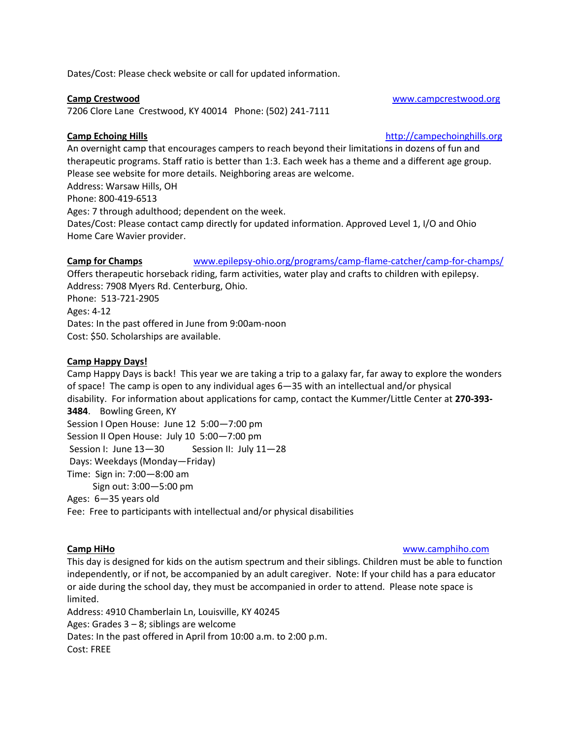Dates/Cost: Please check website or call for updated information.

### **Camp Crestwood Camp Crestwood [www.campcrestwood.org](http://www.campcrestwood.org/)**

7206 Clore Lane Crestwood, KY 40014 Phone: (502) 241-7111

**Camp Echoing Hills Camp Echoing Hills [http://campechoinghills.org](http://campechoinghills.org/)** 

An overnight camp that encourages campers to reach beyond their limitations in dozens of fun and therapeutic programs. Staff ratio is better than 1:3. Each week has a theme and a different age group. Please see website for more details. Neighboring areas are welcome. Address: Warsaw Hills, OH Phone: 800-419-6513 Ages: 7 through adulthood; dependent on the week. Dates/Cost: Please contact camp directly for updated information. Approved Level 1, I/O and Ohio Home Care Wavier provider.

### **Camp for Champs** www.epilepsy-ohio.org/programs/camp-flame-catcher/camp-for-champs/

Offers therapeutic horseback riding, farm activities, water play and crafts to children with epilepsy. Address: 7908 Myers Rd. Centerburg, Ohio. Phone: 513-721-2905 Ages: 4-12 Dates: In the past offered in June from 9:00am-noon Cost: \$50. Scholarships are available.

### **Camp Happy Days!**

Camp Happy Days is back! This year we are taking a trip to a galaxy far, far away to explore the wonders of space! The camp is open to any individual ages 6—35 with an intellectual and/or physical disability. For information about applications for camp, contact the Kummer/Little Center at **270-393- 3484**. Bowling Green, KY Session I Open House: June 12 5:00—7:00 pm Session II Open House: July 10 5:00—7:00 pm Session I: June 13-30 Session II: July 11-28 Days: Weekdays (Monday—Friday) Time: Sign in: 7:00—8:00 am Sign out: 3:00—5:00 pm Ages: 6—35 years old

Fee: Free to participants with intellectual and/or physical disabilities

### **Camp HiHo** [www.camphiho.com](http://www.camphiho.com/)

This day is designed for kids on the autism spectrum and their siblings. Children must be able to function independently, or if not, be accompanied by an adult caregiver. Note: If your child has a para educator or aide during the school day, they must be accompanied in order to attend. Please note space is limited.

Address: 4910 Chamberlain Ln, Louisville, KY 40245 Ages: Grades 3 – 8; siblings are welcome Dates: In the past offered in April from 10:00 a.m. to 2:00 p.m. Cost: FREE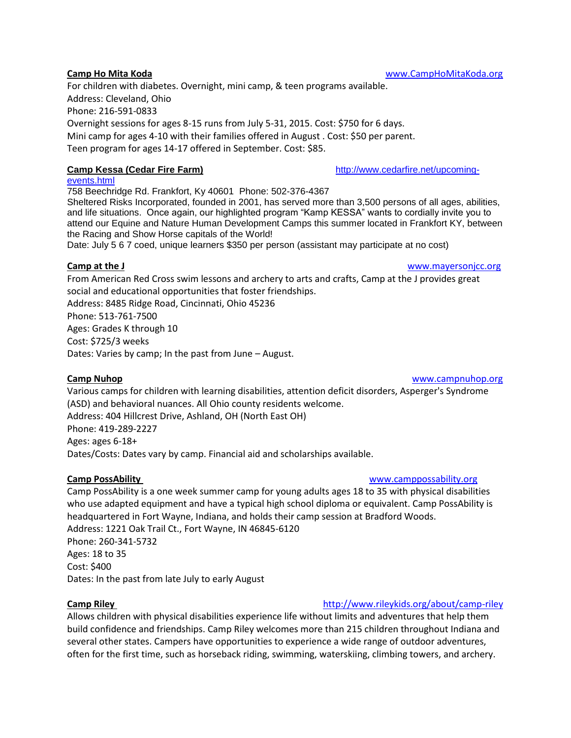For children with diabetes. Overnight, mini camp, & teen programs available. Address: Cleveland, Ohio Phone: 216-591-0833 Overnight sessions for ages 8-15 runs from July 5-31, 2015. Cost: \$750 for 6 days. Mini camp for ages 4-10 with their families offered in August . Cost: \$50 per parent. Teen program for ages 14-17 offered in September. Cost: \$85.

### **Camp Kessa (Cedar Fire Farm) [http://www.cedarfire.net/upcoming-](http://www.cedarfire.net/upcoming-events.html)**

[events.html](http://www.cedarfire.net/upcoming-events.html) 758 Beechridge Rd. Frankfort, Ky 40601 Phone: 502-376-4367 Sheltered Risks Incorporated, founded in 2001, has served more than 3,500 persons of all ages, abilities, and life situations. Once again, our highlighted program "Kamp KESSA" wants to cordially invite you to attend our Equine and Nature Human Development Camps this summer located in Frankfort KY, between the Racing and Show Horse capitals of the World! Date: July 5 6 7 coed, unique learners \$350 per person (assistant may participate at no cost)

From American Red Cross swim lessons and archery to arts and crafts, Camp at the J provides great social and educational opportunities that foster friendships. Address: 8485 Ridge Road, Cincinnati, Ohio 45236 Phone: 513-761-7500 Ages: Grades K through 10 Cost: \$725/3 weeks Dates: Varies by camp; In the past from June – August.

### **Camp Nuhop [www.campnuhop.org](http://www.campnuhop.org/)**

Various camps for children with learning disabilities, attention deficit disorders, Asperger's Syndrome (ASD) and behavioral nuances. All Ohio county residents welcome. Address: 404 Hillcrest Drive, Ashland, OH (North East OH) Phone: 419-289-2227 Ages: ages 6-18+ Dates/Costs: Dates vary by camp. Financial aid and scholarships available.

### **Camp PossAbility Camp PossAbility** and *Camp* **WWW.camppossability.org**

Camp PossAbility is a one week summer camp for young adults ages 18 to 35 with physical disabilities who use adapted equipment and have a typical high school diploma or equivalent. Camp PossAbility is headquartered in Fort Wayne, Indiana, and holds their camp session at Bradford Woods. Address: 1221 Oak Trail Ct., Fort Wayne, IN 46845-6120 Phone: 260-341-5732 Ages: 18 to 35 Cost: \$400 Dates: In the past from late July to early August

### **Camp Riley** <http://www.rileykids.org/about/camp-riley>

Allows children with physical disabilities experience life without limits and adventures that help them build confidence and friendships. Camp Riley welcomes more than 215 children throughout Indiana and several other states. Campers have opportunities to experience a wide range of outdoor adventures, often for the first time, such as horseback riding, swimming, waterskiing, climbing towers, and archery.

**Camp Ho Mita Koda [www.CampHoMitaKoda.org](http://www.camphomitakoda.org/)** 

**Camp at the J Camp at the J Camp at the J Camp at the J Camp at the J Camp at the J Camp at the J Camp at the J Camp at the J Camp at the J Camp at the J Camp at the J Camp at the J Camp at the J**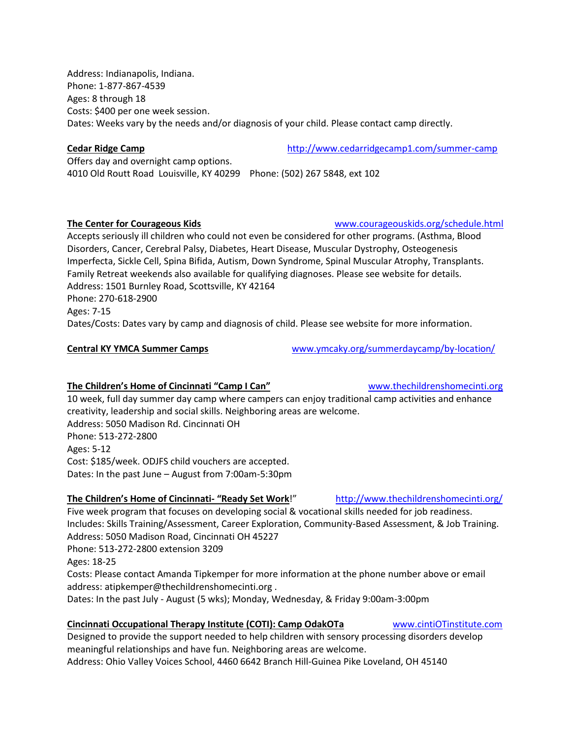Address: Indianapolis, Indiana. Phone: 1-877-867-4539 Ages: 8 through 18 Costs: \$400 per one week session. Dates: Weeks vary by the needs and/or diagnosis of your child. Please contact camp directly.

**Cedar Ridge Camp** <http://www.cedarridgecamp1.com/summer-camp>

Offers day and overnight camp options. 4010 Old Routt Road Louisville, KY 40299 Phone: (502) 267 5848, ext 102

### **The Center for Courageous Kids** [www.courageouskids.org/](http://www.courageouskids.org/)schedule.html

Accepts seriously ill children who could not even be considered for other programs. (Asthma, Blood Disorders, Cancer, Cerebral Palsy, Diabetes, Heart Disease, Muscular Dystrophy, Osteogenesis Imperfecta, Sickle Cell, Spina Bifida, Autism, Down Syndrome, Spinal Muscular Atrophy, Transplants. Family Retreat weekends also available for qualifying diagnoses. Please see website for details. Address: 1501 Burnley Road, Scottsville, KY 42164 Phone: 270-618-2900 Dates/Costs: Dates vary by camp and diagnosis of child. Please see website for more information.

**Central KY YMCA Summer Camps** [www.ymcaky.org/summerdaycamp/by-location/](http://www.ymcaky.org/summerdaycamp/by-location/)

### **The Children's Home of Cincinnati "Camp I Can"** [www.thechildrenshomecinti.org](http://www.thechildrenshomecinti.org/)

10 week, full day summer day camp where campers can enjoy traditional camp activities and enhance creativity, leadership and social skills. Neighboring areas are welcome. Address: 5050 Madison Rd. Cincinnati OH Phone: 513-272-2800 Ages: 5-12 Cost: \$185/week. ODJFS child vouchers are accepted. Dates: In the past June – August from 7:00am-5:30pm

### **The Children's Home of Cincinnati- "Ready Set Work**!" http://www.thechildrenshomecinti.org/

Five week program that focuses on developing social & vocational skills needed for job readiness. Includes: Skills Training/Assessment, Career Exploration, Community-Based Assessment, & Job Training. Address: 5050 Madison Road, Cincinnati OH 45227 Phone: 513-272-2800 extension 3209 Ages: 18-25 Costs: Please contact Amanda Tipkemper for more information at the phone number above or email address: atipkemper@thechildrenshomecinti.org . Dates: In the past July - August (5 wks); Monday, Wednesday, & Friday 9:00am-3:00pm

### **Cincinnati Occupational Therapy Institute (COTI): Camp OdakOTa** [www.cintiOTinstitute.com](http://www.cintiotinstitute.com/)

Designed to provide the support needed to help children with sensory processing disorders develop meaningful relationships and have fun. Neighboring areas are welcome. Address: Ohio Valley Voices School, 4460 6642 Branch Hill-Guinea Pike Loveland, OH 45140

Ages: 7-15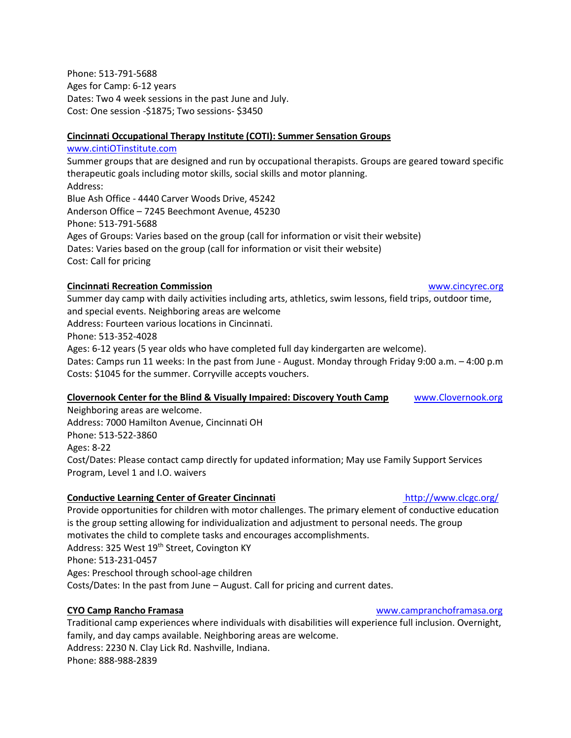Phone: 513-791-5688 Ages for Camp: 6-12 years Dates: Two 4 week sessions in the past June and July. Cost: One session -\$1875; Two sessions- \$3450

### **Cincinnati Occupational Therapy Institute (COTI): Summer Sensation Groups**

[www.cintiOTinstitute.com](http://www.cintiotinstitute.com/) Summer groups that are designed and run by occupational therapists. Groups are geared toward specific therapeutic goals including motor skills, social skills and motor planning. Address: Blue Ash Office - 4440 Carver Woods Drive, 45242 Anderson Office – 7245 Beechmont Avenue, 45230 Phone: 513-791-5688 Ages of Groups: Varies based on the group (call for information or visit their website) Dates: Varies based on the group (call for information or visit their website) Cost: Call for pricing

### **Cincinnati Recreation Commission** [www.cincyrec.org](http://www.cincyrec.org/)

Summer day camp with daily activities including arts, athletics, swim lessons, field trips, outdoor time, and special events. Neighboring areas are welcome Address: Fourteen various locations in Cincinnati. Phone: 513-352-4028 Ages: 6-12 years (5 year olds who have completed full day kindergarten are welcome). Dates: Camps run 11 weeks: In the past from June - August. Monday through Friday 9:00 a.m. – 4:00 p.m Costs: \$1045 for the summer. Corryville accepts vouchers.

### **Clovernook Center for the Blind & Visually Impaired: Discovery Youth Camp** [www.Clovernook.org](http://www.clovernook.org/)

Neighboring areas are welcome. Address: 7000 Hamilton Avenue, Cincinnati OH Phone: 513-522-3860 Ages: 8-22 Cost/Dates: Please contact camp directly for updated information; May use Family Support Services Program, Level 1 and I.O. waivers

### **Conductive Learning Center of Greater Cincinnati http://www.clcgc.org/**

Provide opportunities for children with motor challenges. The primary element of conductive education is the group setting allowing for individualization and adjustment to personal needs. The group motivates the child to complete tasks and encourages accomplishments. Address: 325 West 19<sup>th</sup> Street, Covington KY Phone: 513-231-0457 Ages: Preschool through school-age children Costs/Dates: In the past from June – August. Call for pricing and current dates.

Traditional camp experiences where individuals with disabilities will experience full inclusion. Overnight, family, and day camps available. Neighboring areas are welcome. Address: 2230 N. Clay Lick Rd. Nashville, Indiana. Phone: 888-988-2839

### **CYO Camp Rancho Framasa** [www.campranchoframasa.org](http://www.campranchoframasa.org/)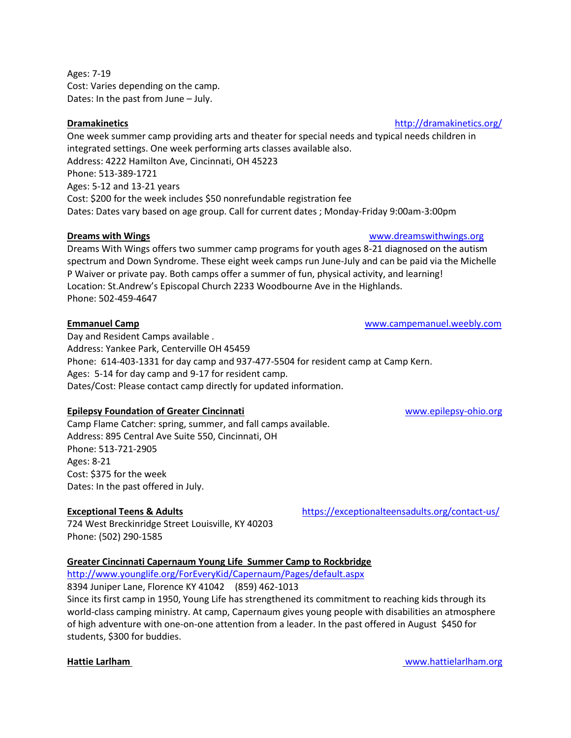Ages: 7-19 Cost: Varies depending on the camp. Dates: In the past from June – July.

One week summer camp providing arts and theater for special needs and typical needs children in integrated settings. One week performing arts classes available also. Address: 4222 Hamilton Ave, Cincinnati, OH 45223 Phone: 513-389-1721 Ages: 5-12 and 13-21 years Cost: \$200 for the week includes \$50 nonrefundable registration fee Dates: Dates vary based on age group. Call for current dates ; Monday-Friday 9:00am-3:00pm

### **Dreams with Wings** with **Wings** [www.dreamswithwings.org](http://www.dreamswithwings.org/)

Dreams With Wings offers two summer camp programs for youth ages 8-21 diagnosed on the autism spectrum and Down Syndrome. These eight week camps run June-July and can be paid via the Michelle P Waiver or private pay. Both camps offer a summer of fun, physical activity, and learning! Location: St.Andrew's Episcopal Church 2233 Woodbourne Ave in the Highlands. Phone: 502-459-4647

### **Emmanuel Camp** [www.campemanuel.weebly.com](http://www.campemanuel.weebly.com/)

Day and Resident Camps available . Address: Yankee Park, Centerville OH 45459 Phone: 614-403-1331 for day camp and 937-477-5504 for resident camp at Camp Kern. Ages: 5-14 for day camp and 9-17 for resident camp. Dates/Cost: Please contact camp directly for updated information.

### **Epilepsy Foundation of Greater Cincinnati** [www.epilepsy-ohio.org](http://www.epilepsy-ohio.org/)

Camp Flame Catcher: spring, summer, and fall camps available. Address: 895 Central Ave Suite 550, Cincinnati, OH Phone: 513-721-2905 Ages: 8-21 Cost: \$375 for the week Dates: In the past offered in July.

724 West Breckinridge Street Louisville, KY 40203 Phone: (502) 290-1585

### **Greater Cincinnati Capernaum Young Life Summer Camp to Rockbridge**

<http://www.younglife.org/ForEveryKid/Capernaum/Pages/default.aspx>

8394 Juniper Lane, Florence KY 41042 (859) 462-1013

Since its first camp in 1950, Young Life has strengthened its commitment to reaching kids through its world-class camping ministry. At camp, Capernaum gives young people with disabilities an atmosphere of high adventure with one-on-one attention from a leader. In the past offered in August \$450 for students, \$300 for buddies.

### **Dramakinetics <http://dramakinetics.org/>**

**Exceptional Teens & Adults** <https://exceptionalteensadults.org/contact-us/>

**Hattie Larlham** www.hattielarlham.org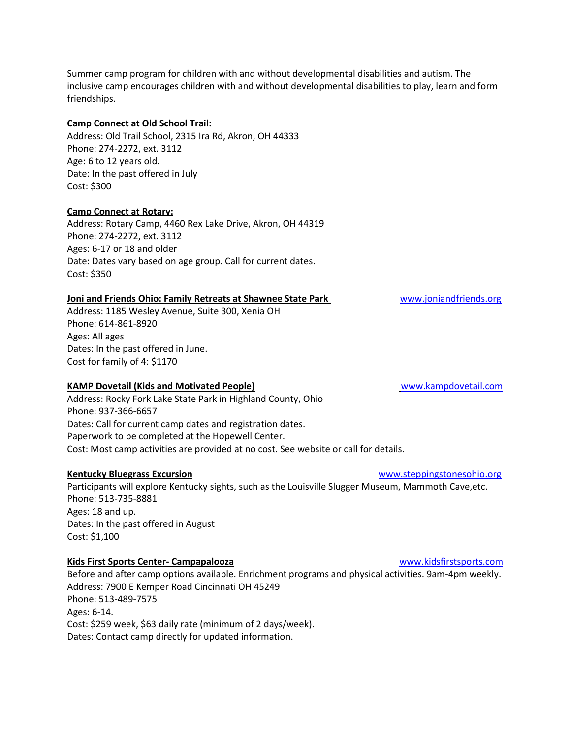Summer camp program for children with and without developmental disabilities and autism. The inclusive camp encourages children with and without developmental disabilities to play, learn and form friendships.

### **Camp Connect at Old School Trail:**

Address: Old Trail School, 2315 Ira Rd, Akron, OH 44333 Phone: 274-2272, ext. 3112 Age: 6 to 12 years old. Date: In the past offered in July Cost: \$300

### **Camp Connect at Rotary:**

Address: Rotary Camp, 4460 Rex Lake Drive, Akron, OH 44319 Phone: 274-2272, ext. 3112 Ages: 6-17 or 18 and older Date: Dates vary based on age group. Call for current dates. Cost: \$350

### **Joni and Friends Ohio: Family Retreats at Shawnee State Park Www.joniandfriends.org**

Address: 1185 Wesley Avenue, Suite 300, Xenia OH Phone: 614-861-8920 Ages: All ages Dates: In the past offered in June. Cost for family of 4: \$1170

### **KAMP Dovetail (Kids and Motivated People)** [www.kampdovetail.com](http://www.kampdovetail.com/)

Address: Rocky Fork Lake State Park in Highland County, Ohio Phone: 937-366-6657 Dates: Call for current camp dates and registration dates. Paperwork to be completed at the Hopewell Center. Cost: Most camp activities are provided at no cost. See website or call for details.

### **Kentucky Bluegrass Excursion** [www.steppingstonesohio.org](http://www.steppingstonesohio.org/)

Participants will explore Kentucky sights, such as the Louisville Slugger Museum, Mammoth Cave,etc. Phone: 513-735-8881 Ages: 18 and up. Dates: In the past offered in August Cost: \$1,100

### **Kids First Sports Center- Campapalooza** [www.kidsfirstsports.com](http://www.kidsfirstsports.com/)

Before and after camp options available. Enrichment programs and physical activities. 9am-4pm weekly. Address: 7900 E Kemper Road Cincinnati OH 45249 Phone: 513-489-7575 Ages: 6-14. Cost: \$259 week, \$63 daily rate (minimum of 2 days/week). Dates: Contact camp directly for updated information.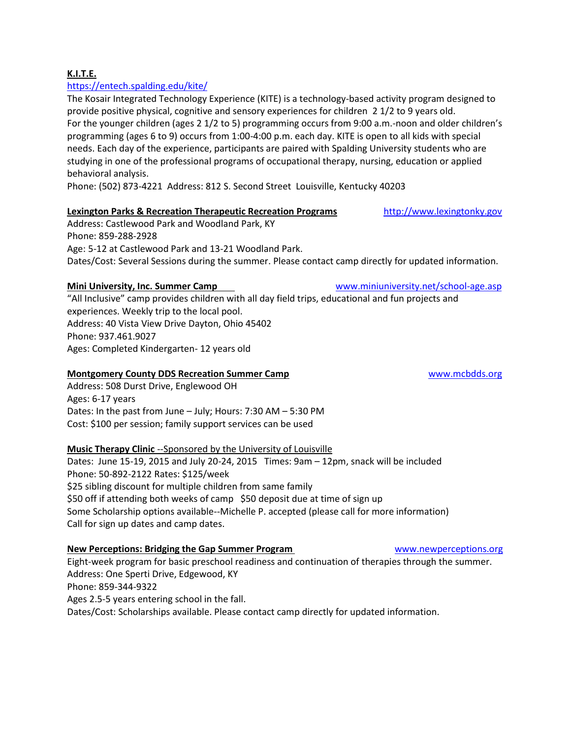### **K.I.T.E.**

### <https://entech.spalding.edu/kite/>

The Kosair Integrated Technology Experience (KITE) is a technology-based activity program designed to provide positive physical, cognitive and sensory experiences for children 2 1/2 to 9 years old. For the younger children (ages 2 1/2 to 5) programming occurs from 9:00 a.m.-noon and older children's programming (ages 6 to 9) occurs from 1:00-4:00 p.m. each day. KITE is open to all kids with special needs. Each day of the experience, participants are paired with Spalding University students who are studying in one of the professional programs of occupational therapy, nursing, education or applied behavioral analysis.

Phone: (502) 873-4221 Address: 812 S. Second Street Louisville, Kentucky 40203

### **Lexington Parks & Recreation Therapeutic Recreation Programs** http://www.lexingtonky.gov

Address: Castlewood Park and Woodland Park, KY Phone: 859-288-2928 Age: 5-12 at Castlewood Park and 13-21 Woodland Park. Dates/Cost: Several Sessions during the summer. Please contact camp directly for updated information.

"All Inclusive" camp provides children with all day field trips, educational and fun projects and experiences. Weekly trip to the local pool. Address: 40 Vista View Drive Dayton, Ohio 45402 Phone: 937.461.9027 Ages: Completed Kindergarten- 12 years old

### **Montgomery County DDS Recreation Summer Camp**  WWW.mcbdds.org

Address: 508 Durst Drive, Englewood OH Ages: 6-17 years Dates: In the past from June – July; Hours: 7:30 AM – 5:30 PM Cost: \$100 per session; family support services can be used

### **Music Therapy Clinic** --Sponsored by the University of Louisville

Dates: June 15-19, 2015 and July 20-24, 2015 Times: 9am – 12pm, snack will be included Phone: 50-892-2122 Rates: \$125/week \$25 sibling discount for multiple children from same family \$50 off if attending both weeks of camp \$50 deposit due at time of sign up Some Scholarship options available--Michelle P. accepted (please call for more information) Call for sign up dates and camp dates.

### **New Perceptions: Bridging the Gap Summer Program** [www.newperceptions.org](http://www.newperceptions.org/)

Eight-week program for basic preschool readiness and continuation of therapies through the summer. Address: One Sperti Drive, Edgewood, KY Phone: 859-344-9322 Ages 2.5-5 years entering school in the fall. Dates/Cost: Scholarships available. Please contact camp directly for updated information.

**Mini University, Inc. Summer Camp** www.miniuniversity.net/school-age.asp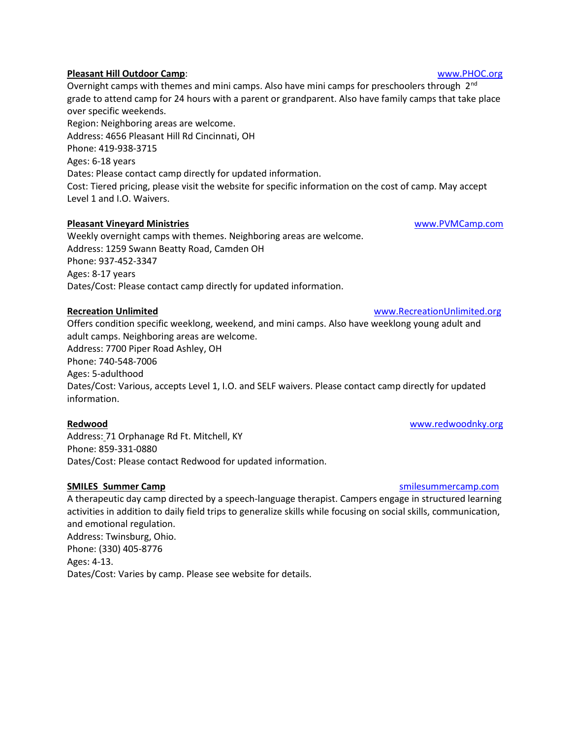### **Pleasant Hill Outdoor Camp**: [www.PHOC.org](http://www.phoc.org/)

Overnight camps with themes and mini camps. Also have mini camps for preschoolers through 2<sup>nd</sup> grade to attend camp for 24 hours with a parent or grandparent. Also have family camps that take place over specific weekends. Region: Neighboring areas are welcome. Address: 4656 Pleasant Hill Rd Cincinnati, OH Phone: 419-938-3715 Ages: 6-18 years Dates: Please contact camp directly for updated information. Cost: Tiered pricing, please visit the website for specific information on the cost of camp. May accept Level 1 and I.O. Waivers.

### **Pleasant Vineyard Ministries** [www.PVMCamp.com](http://www.pvmcamp.com/)

Weekly overnight camps with themes. Neighboring areas are welcome. Address: 1259 Swann Beatty Road, Camden OH Phone: 937-452-3347 Ages: 8-17 years Dates/Cost: Please contact camp directly for updated information.

Offers condition specific weeklong, weekend, and mini camps. Also have weeklong young adult and adult camps. Neighboring areas are welcome. Address: 7700 Piper Road Ashley, OH Phone: 740-548-7006 Ages: 5-adulthood Dates/Cost: Various, accepts Level 1, I.O. and SELF waivers. Please contact camp directly for updated information.

### **Redwood** [www.redwoodnky.org](http://www.redwoodnky.org/)

Address: 71 Orphanage Rd Ft. Mitchell, KY Phone: 859-331-0880 Dates/Cost: Please contact Redwood for updated information.

### **SMILES Summer Camp SMILES Summer Camp smilesummercamp.com**

A therapeutic day camp directed by a speech-language therapist. Campers engage in structured learning activities in addition to daily field trips to generalize skills while focusing on social skills, communication, and emotional regulation. Address: Twinsburg, Ohio. Phone: (330) 405-8776 Ages: 4-13. Dates/Cost: Varies by camp. Please see website for details.

**Recreation Unlimited** [www.RecreationUnlimited.org](http://www.recreationunlimited.org/)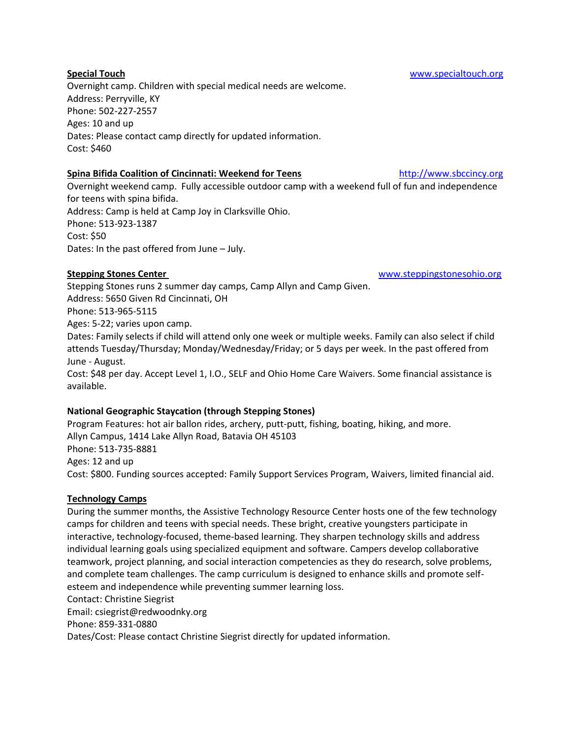### **Spina Bifida Coalition of Cincinnati: Weekend for Teens** [http://www.sbccincy.org](http://www.sbccincy.org/)

Overnight weekend camp. Fully accessible outdoor camp with a weekend full of fun and independence for teens with spina bifida. Address: Camp is held at Camp Joy in Clarksville Ohio. Phone: 513-923-1387 Cost: \$50 Dates: In the past offered from June – July.

Stepping Stones runs 2 summer day camps, Camp Allyn and Camp Given. Address: 5650 Given Rd Cincinnati, OH Phone: 513-965-5115 Ages: 5-22; varies upon camp. Dates: Family selects if child will attend only one week or multiple weeks. Family can also select if child attends Tuesday/Thursday; Monday/Wednesday/Friday; or 5 days per week. In the past offered from June - August.

Cost: \$48 per day. Accept Level 1, I.O., SELF and Ohio Home Care Waivers. Some financial assistance is available.

### **National Geographic Staycation (through Stepping Stones)**

Program Features: hot air ballon rides, archery, putt-putt, fishing, boating, hiking, and more. Allyn Campus, 1414 Lake Allyn Road, Batavia OH 45103 Phone: 513-735-8881 Ages: 12 and up Cost: \$800. Funding sources accepted: Family Support Services Program, Waivers, limited financial aid.

### **Technology Camps**

During the summer months, the Assistive Technology Resource Center hosts one of the few technology camps for children and teens with special needs. These bright, creative youngsters participate in interactive, technology-focused, theme-based learning. They sharpen technology skills and address individual learning goals using specialized equipment and software. Campers develop collaborative teamwork, project planning, and social interaction competencies as they do research, solve problems, and complete team challenges. The camp curriculum is designed to enhance skills and promote selfesteem and independence while preventing summer learning loss. Contact: Christine Siegrist Email: csiegrist@redwoodnky.org Phone: 859-331-0880 Dates/Cost: Please contact Christine Siegrist directly for updated information.

Overnight camp. Children with special medical needs are welcome. Address: Perryville, KY Phone: 502-227-2557 Ages: 10 and up Dates: Please contact camp directly for updated information. Cost: \$460

**Stepping Stones Center** [www.steppingstonesohio.org](http://www.steppingstonesohio.org/)

**Special Touch** [www.specialtouch.org](http://www.specialtouch.org/)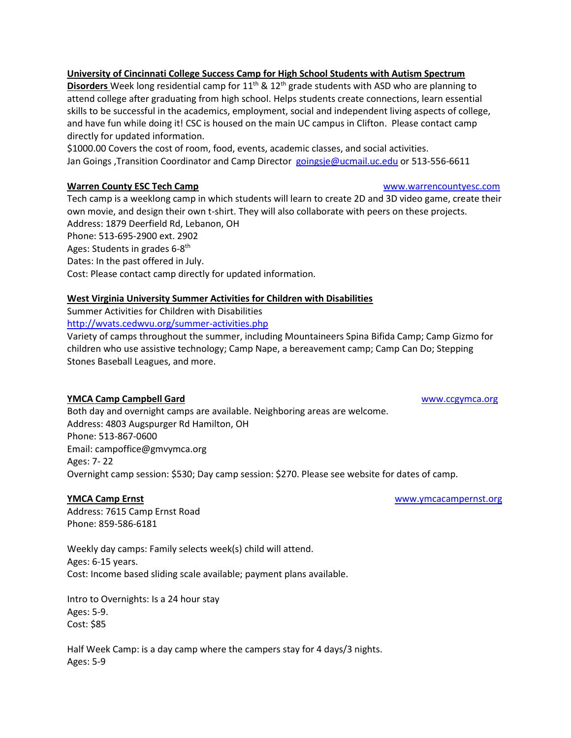### **University of Cincinnati College Success Camp for High School Students with Autism Spectrum**

**Disorders** Week long residential camp for 11<sup>th</sup> & 12<sup>th</sup> grade students with ASD who are planning to attend college after graduating from high school. Helps students create connections, learn essential skills to be successful in the academics, employment, social and independent living aspects of college, and have fun while doing it! CSC is housed on the main UC campus in Clifton. Please contact camp directly for updated information.

\$1000.00 Covers the cost of room, food, events, academic classes, and social activities. Jan Goings ,Transition Coordinator and Camp Director [goingsje@ucmail.uc.edu](mailto:goingsje@ucmail.uc.edu) or 513-556-6611

### **Warren County ESC Tech Camp** www.warrencountyesc.com

Tech camp is a weeklong camp in which students will learn to create 2D and 3D video game, create their own movie, and design their own t-shirt. They will also collaborate with peers on these projects. Address: 1879 Deerfield Rd, Lebanon, OH Phone: 513-695-2900 ext. 2902 Ages: Students in grades 6-8<sup>th</sup> Dates: In the past offered in July. Cost: Please contact camp directly for updated information.

### **West Virginia University Summer Activities for Children with Disabilities**

Summer Activities for Children with Disabilities

<http://wvats.cedwvu.org/summer-activities.php>

Variety of camps throughout the summer, including Mountaineers Spina Bifida Camp; Camp Gizmo for children who use assistive technology; Camp Nape, a bereavement camp; Camp Can Do; Stepping Stones Baseball Leagues, and more.

### **YMCA Camp Campbell Gard** WWW.ccgymca.org

Both day and overnight camps are available. Neighboring areas are welcome. Address: 4803 Augspurger Rd Hamilton, OH Phone: 513-867-0600 Email: campoffice@gmvymca.org Ages: 7- 22 Overnight camp session: \$530; Day camp session: \$270. Please see website for dates of camp.

**YMCA Camp Ernst** [www.ymcacampernst.org](http://www.ymcacampernst.org/)

Address: 7615 Camp Ernst Road Phone: 859-586-6181

Weekly day camps: Family selects week(s) child will attend. Ages: 6-15 years. Cost: Income based sliding scale available; payment plans available.

Intro to Overnights: Is a 24 hour stay Ages: 5-9. Cost: \$85

Half Week Camp: is a day camp where the campers stay for 4 days/3 nights. Ages: 5-9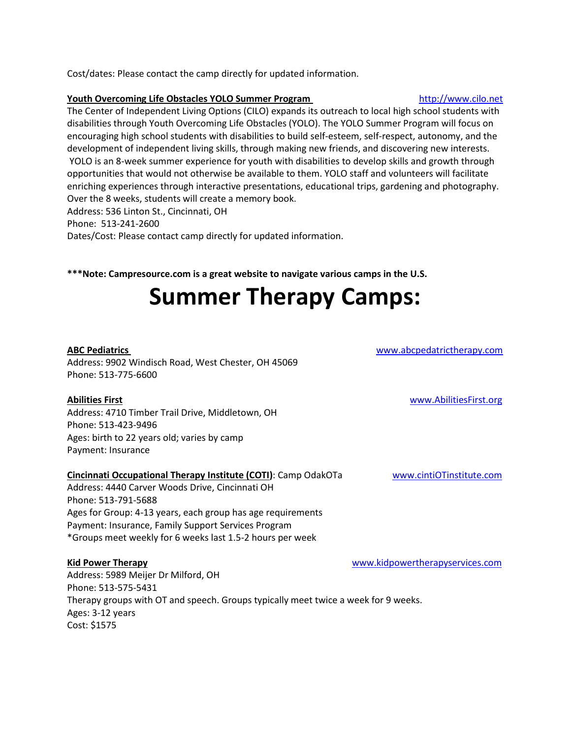Cost/dates: Please contact the camp directly for updated information.

### **Youth Overcoming Life Obstacles YOLO Summer Program** [http://www.cilo.net](http://www.cilo.net/pages/content/events.html)

The Center of Independent Living Options (CILO) expands its outreach to local high school students with disabilities through Youth Overcoming Life Obstacles (YOLO). The YOLO Summer Program will focus on encouraging high school students with disabilities to build self-esteem, self-respect, autonomy, and the development of independent living skills, through making new friends, and discovering new interests. YOLO is an 8-week summer experience for youth with disabilities to develop skills and growth through opportunities that would not otherwise be available to them. YOLO staff and volunteers will facilitate enriching experiences through interactive presentations, educational trips, gardening and photography. Over the 8 weeks, students will create a memory book.

Address: 536 Linton St., Cincinnati, OH Phone: 513-241-2600 Dates/Cost: Please contact camp directly for updated information.

**\*\*\*Note: Campresource.com is a great website to navigate various camps in the U.S.**

# **Summer Therapy Camps:**

Address: 9902 Windisch Road, West Chester, OH 45069 Phone: 513-775-6600

### **Abilities First** [www.AbilitiesFirst.org](http://www.abilitiesfirst.org/)

Address: 4710 Timber Trail Drive, Middletown, OH Phone: 513-423-9496 Ages: birth to 22 years old; varies by camp Payment: Insurance

### **Cincinnati Occupational Therapy Institute (COTI)**: Camp OdakOTa [www.cintiOTinstitute.com](http://www.cintiotinstitute.com/)

Address: 4440 Carver Woods Drive, Cincinnati OH Phone: 513-791-5688 Ages for Group: 4-13 years, each group has age requirements Payment: Insurance, Family Support Services Program \*Groups meet weekly for 6 weeks last 1.5-2 hours per week

Address: 5989 Meijer Dr Milford, OH Phone: 513-575-5431 Therapy groups with OT and speech. Groups typically meet twice a week for 9 weeks. Ages: 3-12 years Cost: \$1575

**Kid Power Therapy** [www.kidpowertherapyservices.com](http://www.kidpowertherapyservices.com/)

**ABC Pediatrics** [www.abcpedatrictherapy.com](http://www.abcpedatrictherapy.com/)